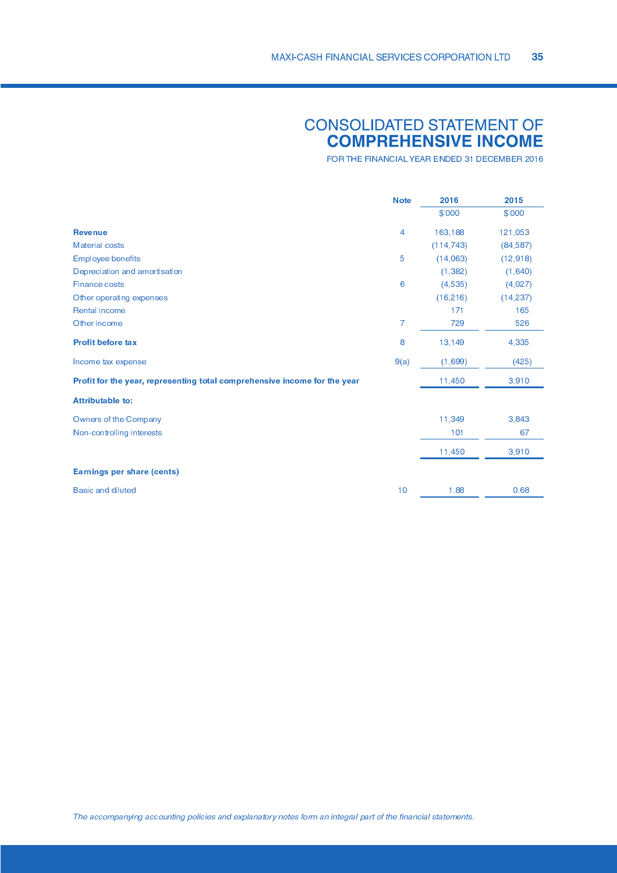### **CONSOLIDATED STATEMENT OF<br>COMPREHENSIVE INCOME**

FOR THE FINANCIAL YEAR ENDED 31 DECEMBER 2016

|                                                                           | <b>Note</b>    | 2016       | 2015      |
|---------------------------------------------------------------------------|----------------|------------|-----------|
|                                                                           |                | \$'000     | \$'000    |
| <b>Revenue</b>                                                            | $\overline{4}$ | 163,188    | 121,053   |
| <b>Material costs</b>                                                     |                | (114, 743) | (84,587)  |
| <b>Employee benefits</b>                                                  | 5              | (14,063)   | (12,918)  |
| Depreciation and amortisation                                             |                | (1, 382)   | (1,640)   |
| <b>Finance costs</b>                                                      | 6              | (4,535)    | (4,027)   |
| Other operating expenses                                                  |                | (16, 216)  | (14, 237) |
| <b>Rental income</b>                                                      |                | 171        | 165       |
| Other income                                                              | $\overline{7}$ | 729        | 526       |
| Profit before tax                                                         | 8              | 13,149     | 4,335     |
| Income tax expense                                                        | 9(a)           | (1,699)    | (425)     |
| Profit for the year, representing total comprehensive income for the year |                | 11,450     | 3,910     |
| Attributable to:                                                          |                |            |           |
| Owners of the Company                                                     |                | 11,349     | 3,843     |
| Non-controlling interests                                                 |                | 101        | 67        |
|                                                                           |                | 11,450     | 3,910     |
| Earnings per share (cents)                                                |                |            |           |
| <b>Basic and diluted</b>                                                  | 10             | 1.88       | 0.68      |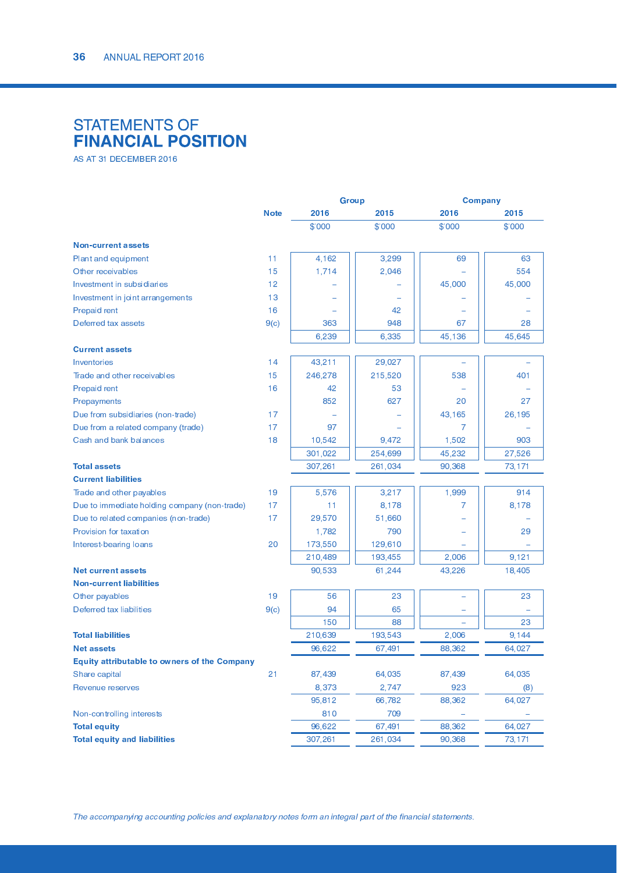# STATEMENTS OF<br>FINANCIAL POSITION

 -

|                                                     |             | <b>Group</b> |         | <b>Company</b> |        |
|-----------------------------------------------------|-------------|--------------|---------|----------------|--------|
|                                                     | <b>Note</b> | 2016         | 2015    | 2016           | 2015   |
|                                                     |             | \$'000       | \$'000  | \$'000         | \$'000 |
| <b>Non-current assets</b>                           |             |              |         |                |        |
| Plant and equipment                                 | 11          | 4,162        | 3,299   | 69             | 63     |
| Other receivables                                   | 15          | 1,714        | 2,046   |                | 554    |
| Investment in subsidiaries                          | 12          |              |         | 45,000         | 45,000 |
| Investment in joint arrangements                    | 13          |              |         |                |        |
| Prepaid rent                                        | 16          |              | 42      |                |        |
| Deferred tax assets                                 | 9(c)        | 363          | 948     | 67             | 28     |
|                                                     |             | 6,239        | 6,335   | 45,136         | 45,645 |
| <b>Current assets</b>                               |             |              |         |                |        |
| Inventories                                         | 14          | 43,211       | 29,027  |                |        |
| Trade and other receivables                         | 15          | 246,278      | 215,520 | 538            | 401    |
| Prepaid rent                                        | 16          | 42           | 53      |                |        |
| Prepayments                                         |             | 852          | 627     | 20             | 27     |
| Due from subsidiaries (non-trade)                   | 17          |              |         | 43,165         | 26,195 |
| Due from a related company (trade)                  | 17          | 97           |         | 7              |        |
| Cash and bank balances                              | 18          | 10,542       | 9,472   | 1,502          | 903    |
|                                                     |             | 301,022      | 254,699 | 45,232         | 27,526 |
| <b>Total assets</b>                                 |             | 307,261      | 261,034 | 90,368         | 73,171 |
| <b>Current liabilities</b>                          |             |              |         |                |        |
| Trade and other payables                            | 19          | 5,576        | 3,217   | 1,999          | 914    |
| Due to immediate holding company (non-trade)        | 17          | 11           | 8,178   | 7              | 8,178  |
| Due to related companies (non-trade)                | 17          | 29,570       | 51,660  |                |        |
| Provision for taxation                              |             | 1,782        | 790     |                | 29     |
| Interest-bearing loans                              | 20          | 173,550      | 129,610 |                |        |
|                                                     |             | 210,489      | 193,455 | 2,006          | 9,121  |
| <b>Net current assets</b>                           |             | 90,533       | 61,244  | 43,226         | 18,405 |
| <b>Non-current liabilities</b>                      |             |              |         |                |        |
| Other payables                                      | 19          | 56           | 23      |                | 23     |
| Deferred tax liabilities                            | 9(c)        | 94           | 65      |                |        |
|                                                     |             | 150          | 88      |                | 23     |
| <b>Total liabilities</b>                            |             | 210,639      | 193,543 | 2,006          | 9,144  |
| <b>Net assets</b>                                   |             | 96,622       | 67,491  | 88,362         | 64,027 |
| <b>Equity attributable to owners of the Company</b> |             |              |         |                |        |
| Share capital                                       | 21          | 87,439       | 64,035  | 87,439         | 64,035 |
| Revenue reserves                                    |             | 8,373        | 2,747   | 923            | (8)    |
|                                                     |             | 95,812       | 66,782  | 88,362         | 64,027 |
| Non-controlling interests                           |             | 810          | 709     |                |        |
| <b>Total equity</b>                                 |             | 96,622       | 67,491  | 88,362         | 64,027 |
| <b>Total equity and liabilities</b>                 |             | 307,261      | 261,034 | 90,368         | 73,171 |
|                                                     |             |              |         |                |        |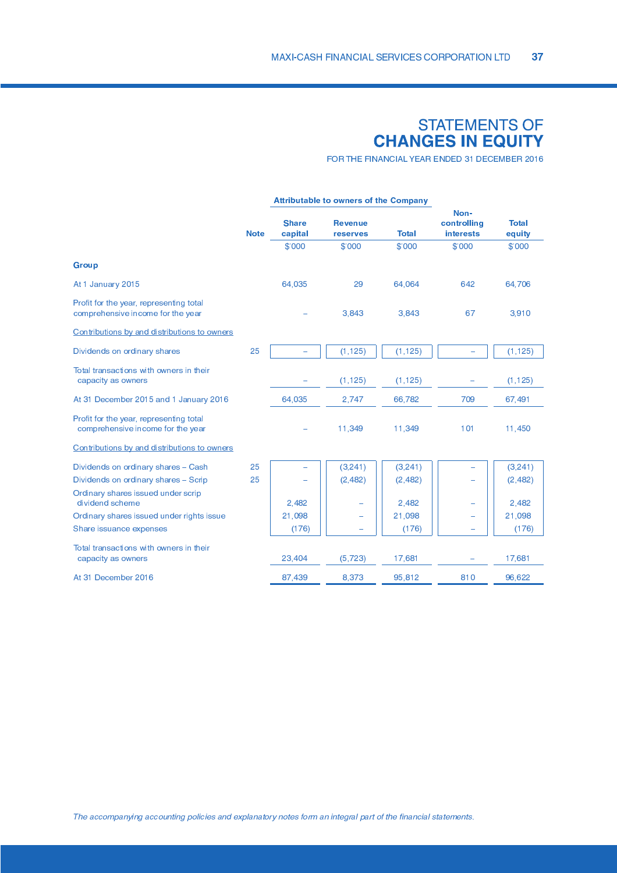## STATEMENTS OF<br>CHANGES IN EQUITY

FOR THE FINANCIAL YEAR ENDED 31 DECEMBER 2016

|             | Attributable to owners of the Company |                                   |              |                                  |                        |
|-------------|---------------------------------------|-----------------------------------|--------------|----------------------------------|------------------------|
| <b>Note</b> | <b>Share</b><br>capital               | <b>Revenue</b><br><b>reserves</b> | <b>Total</b> | Non-<br>controlling<br>interests | <b>Total</b><br>equity |
|             | \$'000                                | \$'000                            | \$'000       | \$'000                           | \$'000                 |
|             |                                       |                                   |              |                                  |                        |
|             | 64,035                                | 29                                | 64,064       | 642                              | 64,706                 |
|             |                                       | 3,843                             | 3,843        | 67                               | 3,910                  |
|             |                                       |                                   |              |                                  |                        |
| 25          |                                       | (1, 125)                          | (1, 125)     |                                  | (1, 125)               |
|             |                                       | (1, 125)                          | (1, 125)     |                                  | (1, 125)               |
|             | 64,035                                | 2,747                             | 66,782       | 709                              | 67,491                 |
|             |                                       | 11,349                            | 11,349       | 101                              | 11,450                 |
|             |                                       |                                   |              |                                  |                        |
| 25          |                                       | (3,241)                           | (3, 241)     |                                  | (3, 241)               |
| 25          |                                       | (2,482)                           | (2, 482)     |                                  | (2, 482)               |
|             | 2,482                                 |                                   | 2,482        | -                                | 2,482                  |
|             | 21,098                                |                                   | 21,098       |                                  | 21,098                 |
|             | (176)                                 |                                   | (176)        | ÷                                | (176)                  |
|             | 23,404                                | (5, 723)                          | 17,681       |                                  | 17,681                 |
|             | 87,439                                | 8,373                             | 95,812       | 810                              | 96,622                 |
|             |                                       |                                   |              |                                  |                        |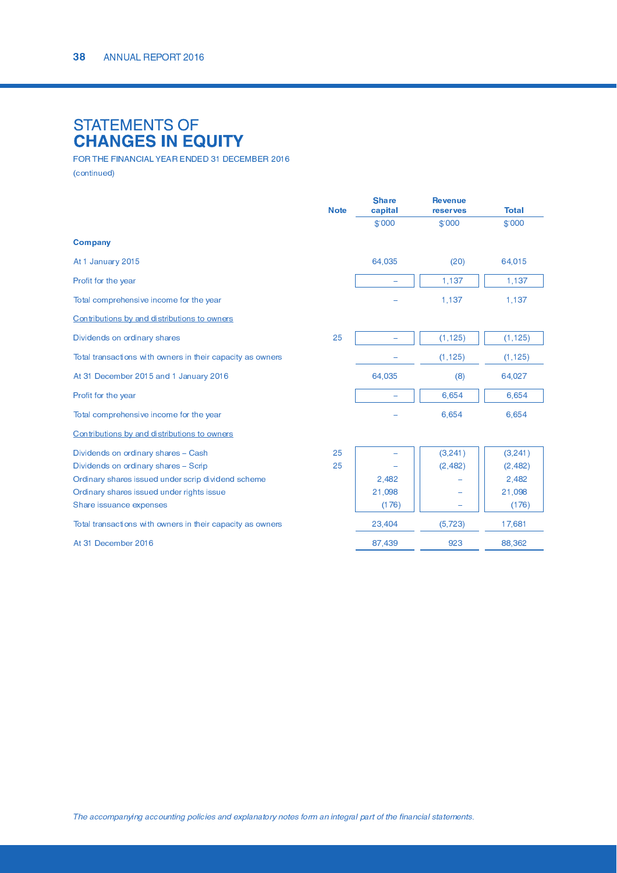### STATEMENTS OF<br>CHANGES IN EQUITY

 $\pm$  , and the set of the state of the set of the set of the set of the set of the set of the set of the set of the set of the set of the set of the set of the set of the set of the set of the set of the set of the set of

|                                                            | <b>Note</b> | <b>Share</b><br>capital | <b>Revenue</b><br>reserves | <b>Total</b> |
|------------------------------------------------------------|-------------|-------------------------|----------------------------|--------------|
|                                                            |             | \$'000                  | \$'000                     | \$'000       |
| <b>Company</b>                                             |             |                         |                            |              |
| At 1 January 2015                                          |             | 64,035                  | (20)                       | 64,015       |
| Profit for the year                                        |             |                         | 1,137                      | 1,137        |
| Total comprehensive income for the year                    |             |                         | 1,137                      | 1,137        |
| Contributions by and distributions to owners               |             |                         |                            |              |
| Dividends on ordinary shares                               | 25          |                         | (1, 125)                   | (1, 125)     |
| Total transactions with owners in their capacity as owners |             |                         | (1, 125)                   | (1, 125)     |
| At 31 December 2015 and 1 January 2016                     |             | 64,035                  | (8)                        | 64,027       |
| Profit for the year                                        |             |                         | 6,654                      | 6,654        |
| Total comprehensive income for the year                    |             |                         | 6,654                      | 6,654        |
| Contributions by and distributions to owners               |             |                         |                            |              |
| Dividends on ordinary shares - Cash                        | 25          |                         | (3,241)                    | (3, 241)     |
| Dividends on ordinary shares - Scrip                       | 25          |                         | (2, 482)                   | (2, 482)     |
| Ordinary shares issued under scrip dividend scheme         |             | 2,482                   |                            | 2,482        |
| Ordinary shares issued under rights issue                  |             | 21,098                  |                            | 21,098       |
| Share issuance expenses                                    |             | (176)                   |                            | (176)        |
| Total transactions with owners in their capacity as owners |             | 23,404                  | (5, 723)                   | 17,681       |
| At 31 December 2016                                        |             | 87,439                  | 923                        | 88,362       |